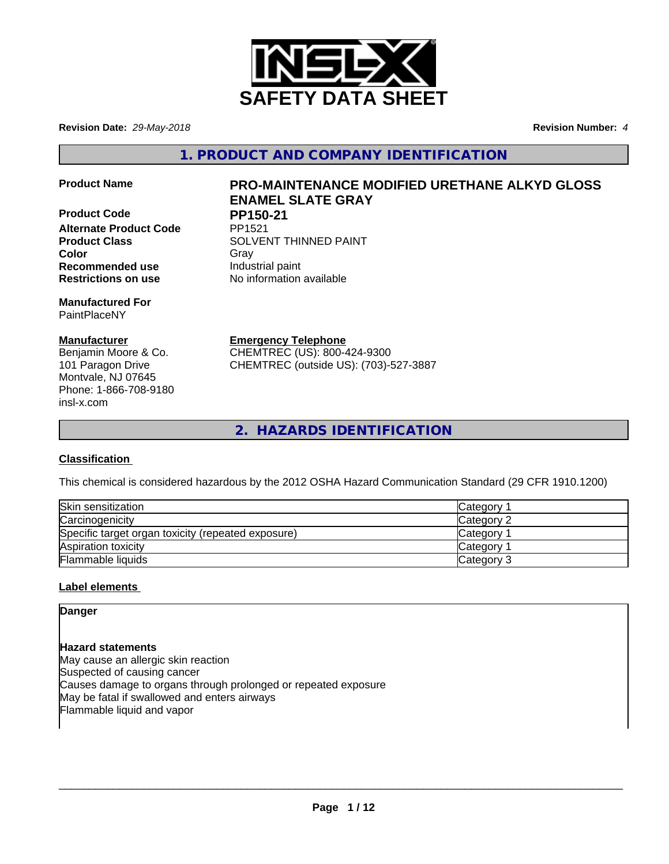

**Revision Date:** *29-May-2018* **Revision Number:** *4*

**1. PRODUCT AND COMPANY IDENTIFICATION**

- 
- **Product Code PP150-21 Alternate Product Code Recommended use Industrial paint Restrictions on use** No information available

**Manufactured For** PaintPlaceNY

## **Manufacturer**

Benjamin Moore & Co. 101 Paragon Drive Montvale, NJ 07645 Phone: 1-866-708-9180 insl-x.com

# **Product Name PRO-MAINTENANCE MODIFIED URETHANE ALKYD GLOSS ENAMEL SLATE GRAY**

**Product Class SOLVENT THINNED PAINT Color** Gray Gray

**Emergency Telephone**

CHEMTREC (US): 800-424-9300 CHEMTREC (outside US): (703)-527-3887

**2. HAZARDS IDENTIFICATION**

# **Classification**

This chemical is considered hazardous by the 2012 OSHA Hazard Communication Standard (29 CFR 1910.1200)

| Skin sensitization                                 | Category        |
|----------------------------------------------------|-----------------|
| Carcinogenicity                                    | Category 2      |
| Specific target organ toxicity (repeated exposure) | <b>Category</b> |
| Aspiration toxicity                                | <b>Category</b> |
| Flammable liquids                                  | Category 3      |

## **Label elements**

**Danger**

**Hazard statements** May cause an allergic skin reaction Suspected of causing cancer Causes damage to organs through prolonged or repeated exposure May be fatal if swallowed and enters airways Flammable liquid and vapor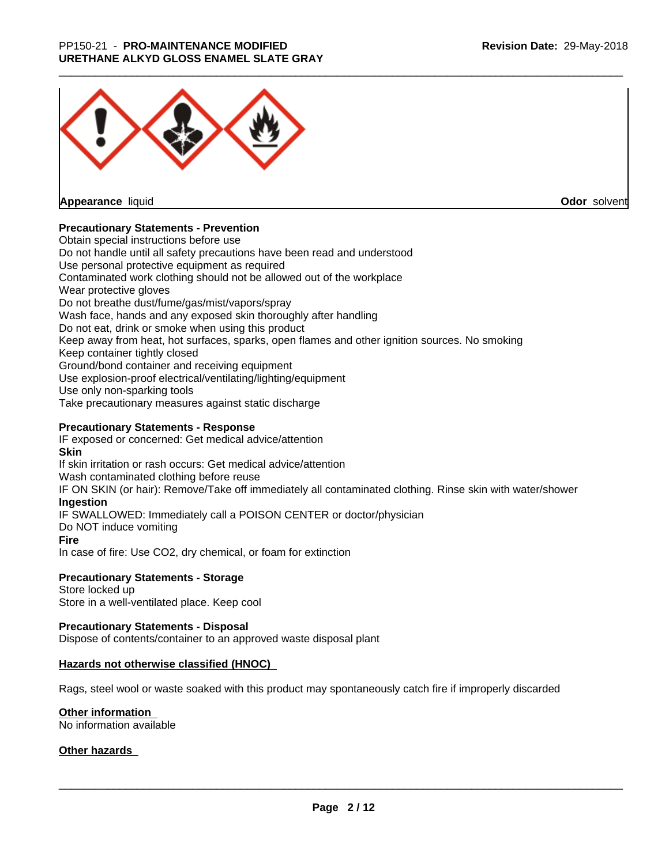

**Appearance** liquid

**Odor** solvent

## **Precautionary Statements - Prevention**

Obtain special instructions before use Do not handle until all safety precautions have been read and understood Use personal protective equipment as required Contaminated work clothing should not be allowed out of the workplace Wear protective gloves Do not breathe dust/fume/gas/mist/vapors/spray Wash face, hands and any exposed skin thoroughly after handling Do not eat, drink or smoke when using this product Keep away from heat, hot surfaces, sparks, open flames and other ignition sources. No smoking Keep container tightly closed Ground/bond container and receiving equipment Use explosion-proof electrical/ventilating/lighting/equipment Use only non-sparking tools Take precautionary measures against static discharge

## **Precautionary Statements - Response**

IF exposed or concerned: Get medical advice/attention **Skin** If skin irritation or rash occurs: Get medical advice/attention Wash contaminated clothing before reuse IF ON SKIN (or hair): Remove/Take off immediately all contaminated clothing. Rinse skin with water/shower **Ingestion** IF SWALLOWED: Immediately call a POISON CENTER or doctor/physician Do NOT induce vomiting **Fire** In case of fire: Use CO2, dry chemical, or foam for extinction

## **Precautionary Statements - Storage**

Store locked up Store in a well-ventilated place. Keep cool

## **Precautionary Statements - Disposal**

Dispose of contents/container to an approved waste disposal plant

## **Hazards not otherwise classified (HNOC)**

Rags, steel wool or waste soaked with this product may spontaneously catch fire if improperly discarded

## **Other information**

No information available

## **Other hazards**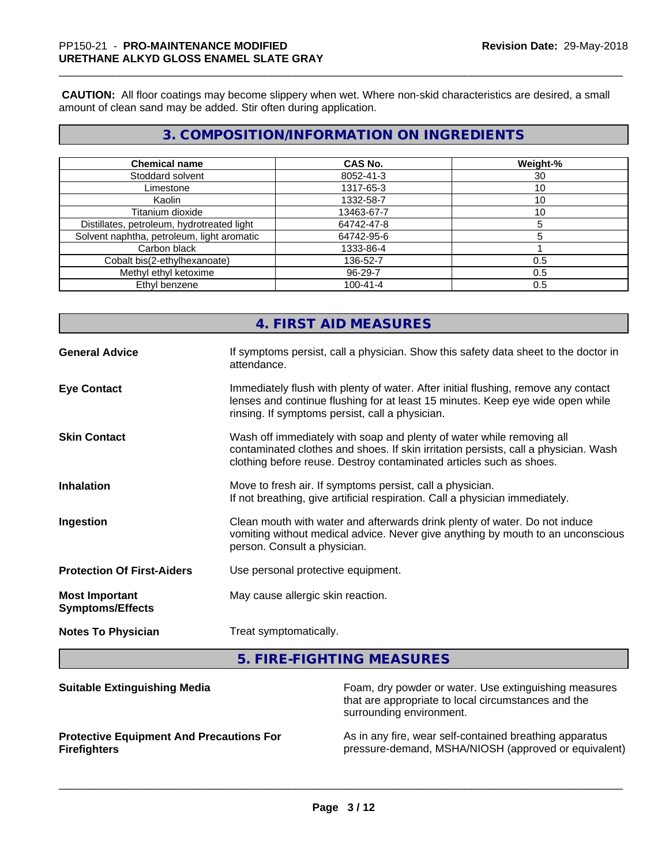**CAUTION:** All floor coatings may become slippery when wet. Where non-skid characteristics are desired, a small amount of clean sand may be added. Stir often during application.

# **3. COMPOSITION/INFORMATION ON INGREDIENTS**

| <b>Chemical name</b>                       | <b>CAS No.</b> | Weight-% |
|--------------------------------------------|----------------|----------|
| Stoddard solvent                           | 8052-41-3      | 30       |
| Limestone                                  | 1317-65-3      | 10       |
| Kaolin                                     | 1332-58-7      | 10       |
| Titanium dioxide                           | 13463-67-7     | 10       |
| Distillates, petroleum, hydrotreated light | 64742-47-8     |          |
| Solvent naphtha, petroleum, light aromatic | 64742-95-6     |          |
| Carbon black                               | 1333-86-4      |          |
| Cobalt bis(2-ethylhexanoate)               | 136-52-7       | 0.5      |
| Methyl ethyl ketoxime                      | 96-29-7        | 0.5      |
| Ethyl benzene                              | $100 - 41 - 4$ | 0.5      |

|                                                  | 4. FIRST AID MEASURES                                                                                                                                                                                                               |
|--------------------------------------------------|-------------------------------------------------------------------------------------------------------------------------------------------------------------------------------------------------------------------------------------|
| <b>General Advice</b>                            | If symptoms persist, call a physician. Show this safety data sheet to the doctor in<br>attendance.                                                                                                                                  |
| <b>Eye Contact</b>                               | Immediately flush with plenty of water. After initial flushing, remove any contact<br>lenses and continue flushing for at least 15 minutes. Keep eye wide open while<br>rinsing. If symptoms persist, call a physician.             |
| <b>Skin Contact</b>                              | Wash off immediately with soap and plenty of water while removing all<br>contaminated clothes and shoes. If skin irritation persists, call a physician. Wash<br>clothing before reuse. Destroy contaminated articles such as shoes. |
| <b>Inhalation</b>                                | Move to fresh air. If symptoms persist, call a physician.<br>If not breathing, give artificial respiration. Call a physician immediately.                                                                                           |
| Ingestion                                        | Clean mouth with water and afterwards drink plenty of water. Do not induce<br>vomiting without medical advice. Never give anything by mouth to an unconscious<br>person. Consult a physician.                                       |
| <b>Protection Of First-Aiders</b>                | Use personal protective equipment.                                                                                                                                                                                                  |
| <b>Most Important</b><br><b>Symptoms/Effects</b> | May cause allergic skin reaction.                                                                                                                                                                                                   |
| <b>Notes To Physician</b>                        | Treat symptomatically.                                                                                                                                                                                                              |

**5. FIRE-FIGHTING MEASURES**

| <b>Suitable Extinguishing Media</b>             | Foam, dry powder or water. Use extinguishing measures<br>that are appropriate to local circumstances and the<br>surrounding environment. |
|-------------------------------------------------|------------------------------------------------------------------------------------------------------------------------------------------|
| <b>Protective Equipment And Precautions For</b> | As in any fire, wear self-contained breathing apparatus                                                                                  |
| <b>Firefighters</b>                             | pressure-demand, MSHA/NIOSH (approved or equivalent)                                                                                     |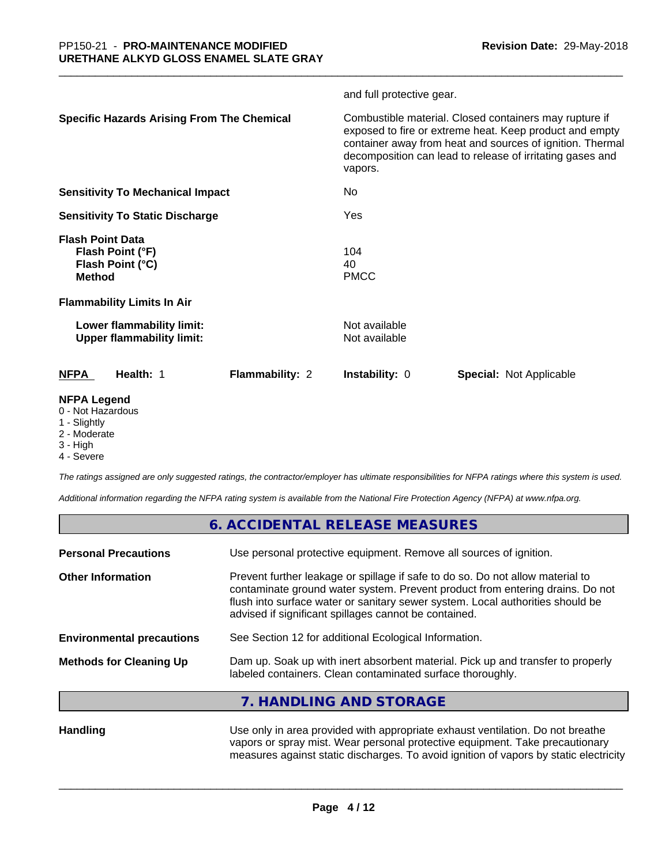|                                                                                     |                        | and full protective gear.      |                                                                                                                                                                                                                                             |
|-------------------------------------------------------------------------------------|------------------------|--------------------------------|---------------------------------------------------------------------------------------------------------------------------------------------------------------------------------------------------------------------------------------------|
| <b>Specific Hazards Arising From The Chemical</b>                                   |                        | vapors.                        | Combustible material. Closed containers may rupture if<br>exposed to fire or extreme heat. Keep product and empty<br>container away from heat and sources of ignition. Thermal<br>decomposition can lead to release of irritating gases and |
| <b>Sensitivity To Mechanical Impact</b>                                             |                        | No.                            |                                                                                                                                                                                                                                             |
| <b>Sensitivity To Static Discharge</b>                                              |                        | Yes                            |                                                                                                                                                                                                                                             |
| <b>Flash Point Data</b><br>Flash Point (°F)<br>Flash Point (°C)<br><b>Method</b>    |                        | 104<br>40<br><b>PMCC</b>       |                                                                                                                                                                                                                                             |
| <b>Flammability Limits In Air</b>                                                   |                        |                                |                                                                                                                                                                                                                                             |
| Lower flammability limit:<br><b>Upper flammability limit:</b>                       |                        | Not available<br>Not available |                                                                                                                                                                                                                                             |
| <b>NFPA</b><br>Health: 1                                                            | <b>Flammability: 2</b> | <b>Instability: 0</b>          | <b>Special: Not Applicable</b>                                                                                                                                                                                                              |
| <b>NFPA Legend</b><br>0 - Not Hazardous<br>1 - Slightly<br>2 - Moderate<br>3 - High |                        |                                |                                                                                                                                                                                                                                             |

4 - Severe

*The ratings assigned are only suggested ratings, the contractor/employer has ultimate responsibilities for NFPA ratings where this system is used.*

*Additional information regarding the NFPA rating system is available from the National Fire Protection Agency (NFPA) at www.nfpa.org.*

|                                  | 6. ACCIDENTAL RELEASE MEASURES                                                                                                                                                                                                                                                                             |
|----------------------------------|------------------------------------------------------------------------------------------------------------------------------------------------------------------------------------------------------------------------------------------------------------------------------------------------------------|
| <b>Personal Precautions</b>      | Use personal protective equipment. Remove all sources of ignition.                                                                                                                                                                                                                                         |
| <b>Other Information</b>         | Prevent further leakage or spillage if safe to do so. Do not allow material to<br>contaminate ground water system. Prevent product from entering drains. Do not<br>flush into surface water or sanitary sewer system. Local authorities should be<br>advised if significant spillages cannot be contained. |
| <b>Environmental precautions</b> | See Section 12 for additional Ecological Information.                                                                                                                                                                                                                                                      |
| <b>Methods for Cleaning Up</b>   | Dam up. Soak up with inert absorbent material. Pick up and transfer to properly<br>labeled containers. Clean contaminated surface thoroughly.                                                                                                                                                              |
|                                  | 7. HANDLING AND STORAGE                                                                                                                                                                                                                                                                                    |

**Handling** Use only in area provided with appropriate exhaust ventilation. Do not breathe vapors or spray mist. Wear personal protective equipment. Take precautionary measures against static discharges. To avoid ignition of vapors by static electricity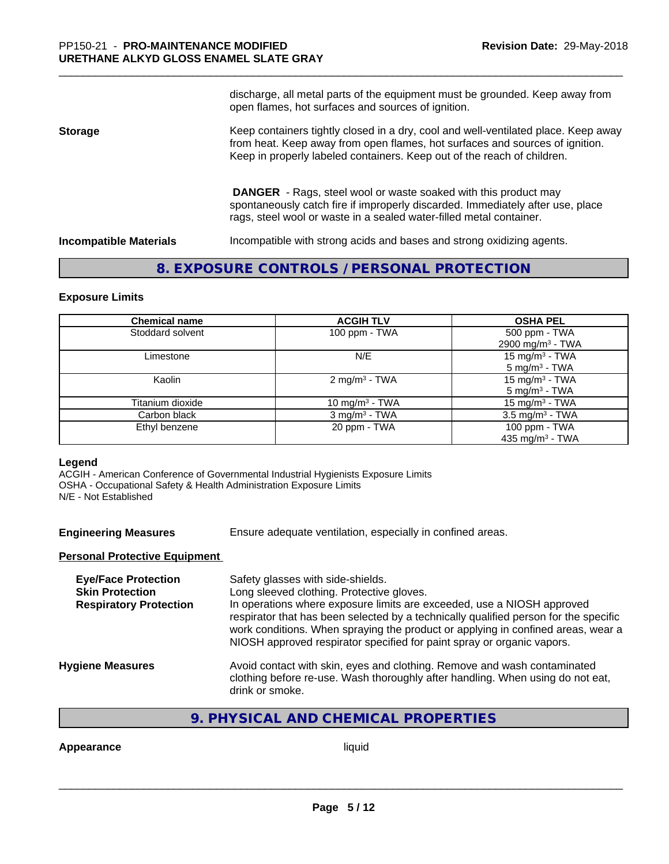discharge, all metal parts of the equipment must be grounded. Keep away from open flames, hot surfaces and sources of ignition.

## **Storage** Keep containers tightly closed in a dry, cool and well-ventilated place. Keep away from heat. Keep away from open flames, hot surfaces and sources of ignition. Keep in properly labeled containers. Keep out of the reach of children.

 **DANGER** - Rags, steel wool or waste soaked with this product may spontaneously catch fire if improperly discarded. Immediately after use, place rags, steel wool or waste in a sealed water-filled metal container.

**Incompatible Materials** Incompatible with strong acids and bases and strong oxidizing agents.

## **8. EXPOSURE CONTROLS / PERSONAL PROTECTION**

## **Exposure Limits**

| <b>Chemical name</b> | <b>ACGIH TLV</b>            | <b>OSHA PEL</b>               |
|----------------------|-----------------------------|-------------------------------|
| Stoddard solvent     | 100 ppm - TWA               | 500 ppm - TWA                 |
|                      |                             | 2900 mg/m <sup>3</sup> - TWA  |
| Limestone            | N/E                         | 15 mg/m $3$ - TWA             |
|                      |                             | $5 \text{ mg/m}^3$ - TWA      |
| Kaolin               | 2 mg/m <sup>3</sup> - TWA   | 15 mg/m $3$ - TWA             |
|                      |                             | $5 \text{ mg/m}^3$ - TWA      |
| Titanium dioxide     | 10 mg/m $3$ - TWA           | 15 mg/m <sup>3</sup> - TWA    |
| Carbon black         | $3$ mg/m <sup>3</sup> - TWA | $3.5$ mg/m <sup>3</sup> - TWA |
| Ethyl benzene        | 20 ppm - TWA                | 100 ppm - $TWA$               |
|                      |                             | 435 mg/m $3$ - TWA            |

## **Legend**

ACGIH - American Conference of Governmental Industrial Hygienists Exposure Limits OSHA - Occupational Safety & Health Administration Exposure Limits N/E - Not Established

**Engineering Measures** Ensure adequate ventilation, especially in confined areas.

## **Personal Protective Equipment**

| <b>Eye/Face Protection</b><br><b>Skin Protection</b><br><b>Respiratory Protection</b> | Safety glasses with side-shields.<br>Long sleeved clothing. Protective gloves.<br>In operations where exposure limits are exceeded, use a NIOSH approved<br>respirator that has been selected by a technically qualified person for the specific<br>work conditions. When spraying the product or applying in confined areas, wear a<br>NIOSH approved respirator specified for paint spray or organic vapors. |
|---------------------------------------------------------------------------------------|----------------------------------------------------------------------------------------------------------------------------------------------------------------------------------------------------------------------------------------------------------------------------------------------------------------------------------------------------------------------------------------------------------------|
| <b>Hygiene Measures</b>                                                               | Avoid contact with skin, eyes and clothing. Remove and wash contaminated<br>clothing before re-use. Wash thoroughly after handling. When using do not eat,<br>drink or smoke.                                                                                                                                                                                                                                  |

## **9. PHYSICAL AND CHEMICAL PROPERTIES**

## **Appearance** liquid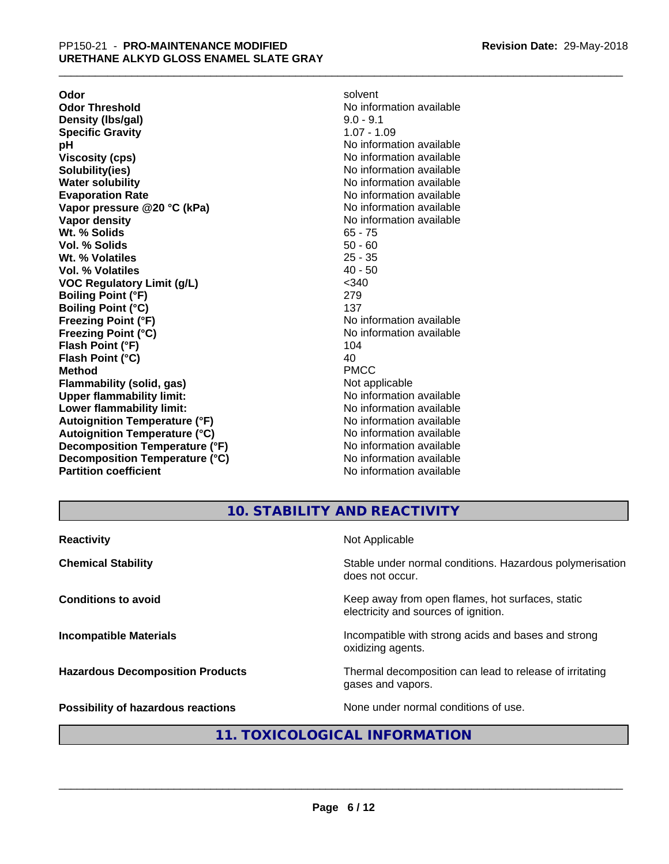**Odor** solvent **Odor Threshold**<br> **Density (Ibs/gal)**<br> **Density (Ibs/gal)**<br> **No information available**<br>  $9.0 - 9.1$ **Density (Ibs/gal)** 9.0 - 9.1<br> **Specific Gravity** 1.07 - 1.09 **Specific Gravity pH** No information available **Viscosity (cps)** No information available **Solubility(ies)** No information available **Water solubility** No information available **Evaporation Rate No information available No information available Vapor pressure @20 °C (kPa)** No information available **Vapor density No information available No** information available **Wt. % Solids** 65 - 75 **Vol. % Solids** 50 - 60<br> **Wt. % Volatiles** 25 - 35 **Wt. % Volatiles** 25 - 35<br> **Vol. % Volatiles** 25 - 35 **Vol. % Volatiles VOC Regulatory Limit (g/L)** <340 **Boiling Point (°F)** 279 **Boiling Point (°C)** 137 **Freezing Point (°F)**<br> **Freezing Point (°C)**<br> **Freezing Point (°C)**<br> **No information available Flash Point (°F)** 104 **Flash Point**  $(^{\circ}C)$  40 **Method** PMCC **Flammability (solid, gas)**<br> **Constrained Upper flammability limit:**<br>
Upper flammability limit:<br>  $\blacksquare$ No information available **Upper flammability limit:**<br> **Lower flammability limit:** No information available<br>
No information available **Lower flammability limit: Autoignition Temperature (°F)** No information available **Autoignition Temperature (°C)** No information available **Decomposition Temperature (°F)** No information available **Decomposition Temperature (°C)** No information available **Partition coefficient Contract Community No information available** 

**Freezing Point (°C)** No information available

# **10. STABILITY AND REACTIVITY**

| <b>Reactivity</b>                         | Not Applicable                                                                           |
|-------------------------------------------|------------------------------------------------------------------------------------------|
| <b>Chemical Stability</b>                 | Stable under normal conditions. Hazardous polymerisation<br>does not occur.              |
| <b>Conditions to avoid</b>                | Keep away from open flames, hot surfaces, static<br>electricity and sources of ignition. |
| <b>Incompatible Materials</b>             | Incompatible with strong acids and bases and strong<br>oxidizing agents.                 |
| <b>Hazardous Decomposition Products</b>   | Thermal decomposition can lead to release of irritating<br>gases and vapors.             |
| <b>Possibility of hazardous reactions</b> | None under normal conditions of use.                                                     |

# **11. TOXICOLOGICAL INFORMATION**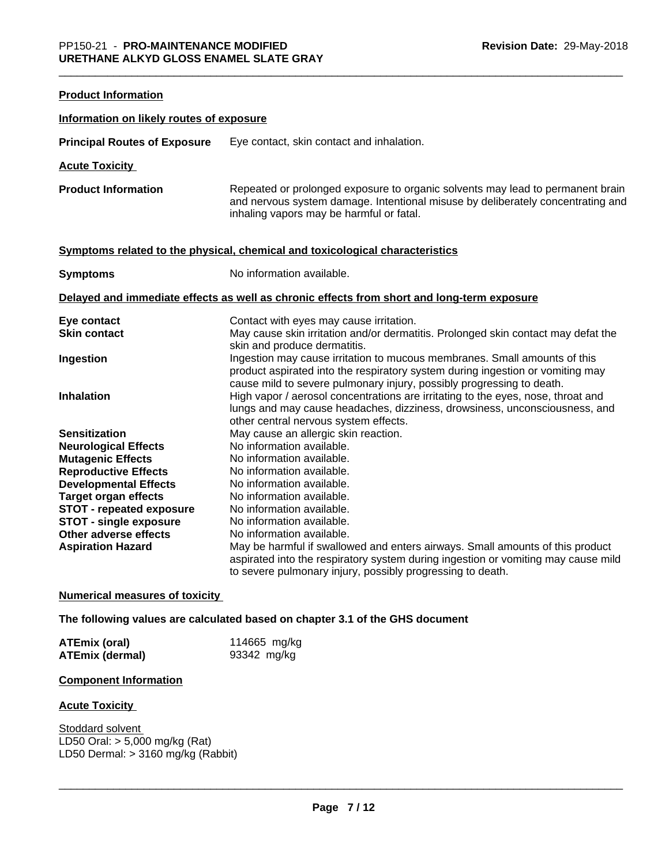## **Product Information**

| Information on likely routes of exposure               |                                                                                                                                                                                                                                      |
|--------------------------------------------------------|--------------------------------------------------------------------------------------------------------------------------------------------------------------------------------------------------------------------------------------|
| <b>Principal Routes of Exposure</b>                    | Eye contact, skin contact and inhalation.                                                                                                                                                                                            |
| <b>Acute Toxicity</b>                                  |                                                                                                                                                                                                                                      |
| <b>Product Information</b>                             | Repeated or prolonged exposure to organic solvents may lead to permanent brain<br>and nervous system damage. Intentional misuse by deliberately concentrating and<br>inhaling vapors may be harmful or fatal.                        |
|                                                        | Symptoms related to the physical, chemical and toxicological characteristics                                                                                                                                                         |
| <b>Symptoms</b>                                        | No information available.                                                                                                                                                                                                            |
|                                                        | Delayed and immediate effects as well as chronic effects from short and long-term exposure                                                                                                                                           |
| Eye contact                                            | Contact with eyes may cause irritation.                                                                                                                                                                                              |
| <b>Skin contact</b>                                    | May cause skin irritation and/or dermatitis. Prolonged skin contact may defat the<br>skin and produce dermatitis.                                                                                                                    |
| Ingestion                                              | Ingestion may cause irritation to mucous membranes. Small amounts of this<br>product aspirated into the respiratory system during ingestion or vomiting may<br>cause mild to severe pulmonary injury, possibly progressing to death. |
| <b>Inhalation</b>                                      | High vapor / aerosol concentrations are irritating to the eyes, nose, throat and<br>lungs and may cause headaches, dizziness, drowsiness, unconsciousness, and<br>other central nervous system effects.                              |
| <b>Sensitization</b>                                   | May cause an allergic skin reaction.                                                                                                                                                                                                 |
| <b>Neurological Effects</b>                            | No information available.                                                                                                                                                                                                            |
| <b>Mutagenic Effects</b>                               | No information available.                                                                                                                                                                                                            |
| <b>Reproductive Effects</b>                            | No information available.                                                                                                                                                                                                            |
| <b>Developmental Effects</b>                           | No information available.                                                                                                                                                                                                            |
| <b>Target organ effects</b>                            | No information available.                                                                                                                                                                                                            |
| <b>STOT - repeated exposure</b>                        | No information available.<br>No information available.                                                                                                                                                                               |
| <b>STOT - single exposure</b><br>Other adverse effects | No information available.                                                                                                                                                                                                            |
| <b>Aspiration Hazard</b>                               | May be harmful if swallowed and enters airways. Small amounts of this product                                                                                                                                                        |
|                                                        | aspirated into the respiratory system during ingestion or vomiting may cause mild<br>to severe pulmonary injury, possibly progressing to death.                                                                                      |

## **Numerical measures of toxicity**

## **The following values are calculated based on chapter 3.1 of the GHS document**

| ATEmix (oral)   | 114665 mg/kg |
|-----------------|--------------|
| ATEmix (dermal) | 93342 mg/kg  |

## **Component Information**

## **Acute Toxicity**

Stoddard solvent LD50 Oral: > 5,000 mg/kg (Rat) LD50 Dermal:  $> 3160$  mg/kg (Rabbit)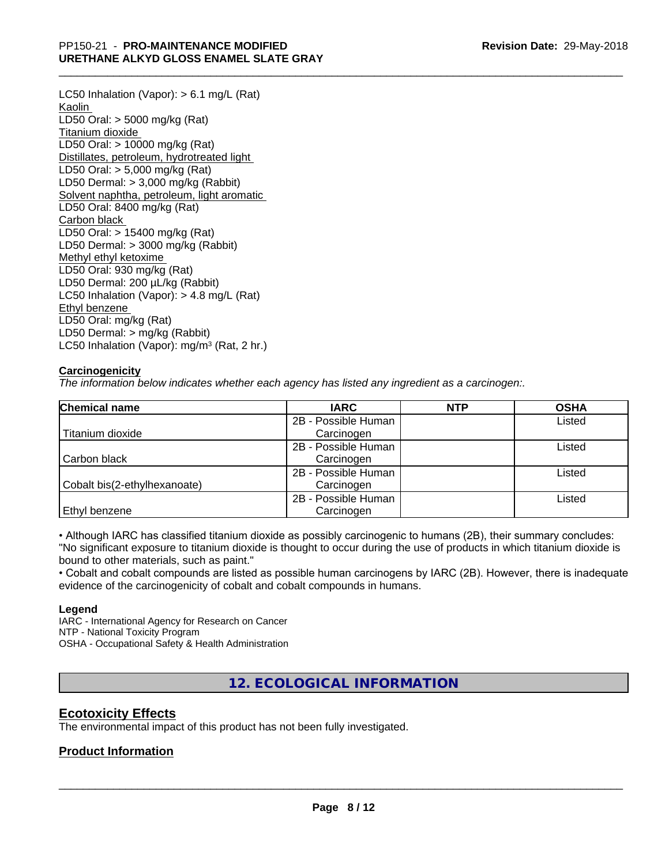LC50 Inhalation (Vapor): > 6.1 mg/L (Rat) Kaolin LD50 Oral: > 5000 mg/kg (Rat) Titanium dioxide LD50 Oral: > 10000 mg/kg (Rat) Distillates, petroleum, hydrotreated light LD50 Oral: > 5,000 mg/kg (Rat) LD50 Dermal: > 3,000 mg/kg (Rabbit) Solvent naphtha, petroleum, light aromatic LD50 Oral: 8400 mg/kg (Rat) Carbon black LD50 Oral: > 15400 mg/kg (Rat) LD50 Dermal: > 3000 mg/kg (Rabbit) Methyl ethyl ketoxime LD50 Oral: 930 mg/kg (Rat) LD50 Dermal: 200 µL/kg (Rabbit) LC50 Inhalation (Vapor): > 4.8 mg/L (Rat) Ethyl benzene LD50 Oral: mg/kg (Rat) LD50 Dermal: > mg/kg (Rabbit) LC50 Inhalation (Vapor): mg/m<sup>3</sup> (Rat, 2 hr.)

## **Carcinogenicity**

*The information below indicateswhether each agency has listed any ingredient as a carcinogen:.*

| <b>Chemical name</b>         | <b>IARC</b>         | <b>NTP</b> | <b>OSHA</b> |
|------------------------------|---------------------|------------|-------------|
|                              | 2B - Possible Human |            | Listed      |
| Titanium dioxide             | Carcinogen          |            |             |
|                              | 2B - Possible Human |            | Listed      |
| Carbon black                 | Carcinogen          |            |             |
|                              | 2B - Possible Human |            | Listed      |
| Cobalt bis(2-ethylhexanoate) | Carcinogen          |            |             |
|                              | 2B - Possible Human |            | Listed      |
| Ethyl benzene                | Carcinogen          |            |             |

• Although IARC has classified titanium dioxide as possibly carcinogenic to humans (2B), their summary concludes: "No significant exposure to titanium dioxide is thought to occur during the use of products in which titanium dioxide is bound to other materials, such as paint."

• Cobalt and cobalt compounds are listed as possible human carcinogens by IARC (2B). However, there is inadequate evidence of the carcinogenicity of cobalt and cobalt compounds in humans.

## **Legend**

IARC - International Agency for Research on Cancer NTP - National Toxicity Program OSHA - Occupational Safety & Health Administration

**12. ECOLOGICAL INFORMATION**

# **Ecotoxicity Effects**

The environmental impact of this product has not been fully investigated.

## **Product Information**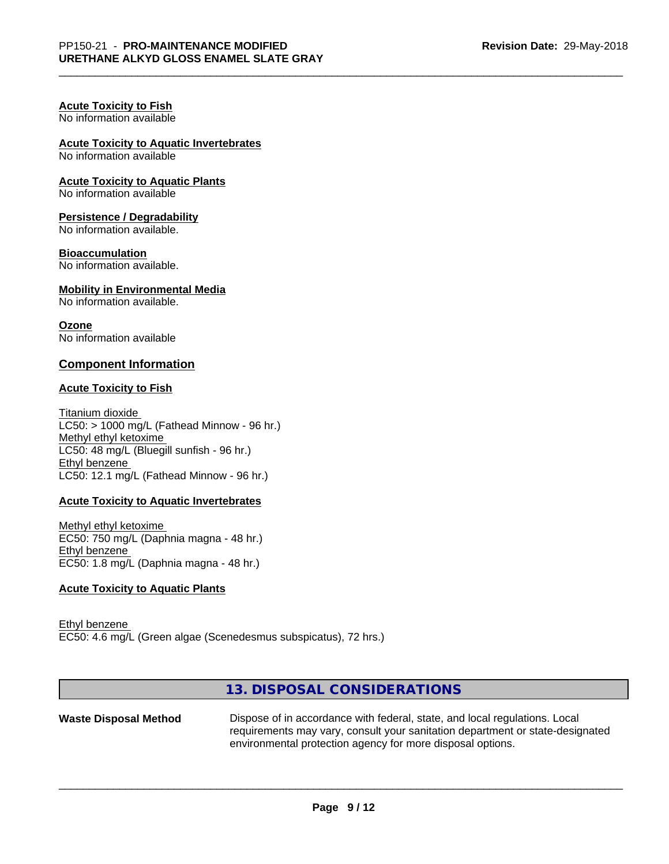# **Acute Toxicity to Fish**

No information available

# **Acute Toxicity to Aquatic Invertebrates**

No information available

## **Acute Toxicity to Aquatic Plants**

No information available

## **Persistence / Degradability**

No information available.

## **Bioaccumulation**

No information available.

## **Mobility in Environmental Media**

No information available.

## **Ozone**

No information available

## **Component Information**

## **Acute Toxicity to Fish**

Titanium dioxide  $LC50:$  > 1000 mg/L (Fathead Minnow - 96 hr.) Methyl ethyl ketoxime LC50: 48 mg/L (Bluegill sunfish - 96 hr.) Ethyl benzene LC50: 12.1 mg/L (Fathead Minnow - 96 hr.)

## **Acute Toxicity to Aquatic Invertebrates**

Methyl ethyl ketoxime EC50: 750 mg/L (Daphnia magna - 48 hr.) Ethyl benzene EC50: 1.8 mg/L (Daphnia magna - 48 hr.)

## **Acute Toxicity to Aquatic Plants**

Ethyl benzene EC50: 4.6 mg/L (Green algae (Scenedesmus subspicatus), 72 hrs.)

## **13. DISPOSAL CONSIDERATIONS**

**Waste Disposal Method** Dispose of in accordance with federal, state, and local regulations. Local requirements may vary, consult your sanitation department or state-designated environmental protection agency for more disposal options.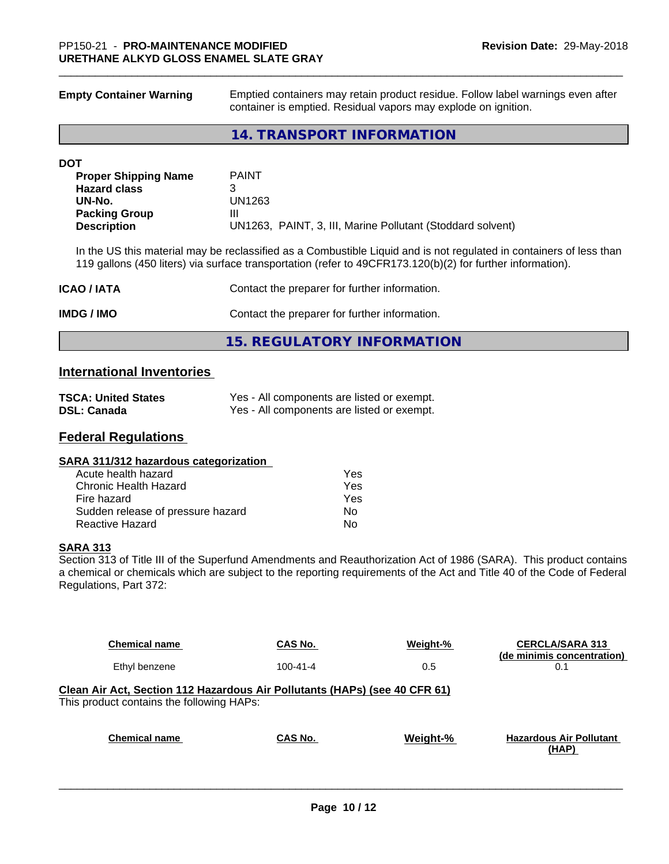**Empty Container Warning** Emptied containers may retain product residue. Follow label warnings even after container is emptied. Residual vapors may explode on ignition.

## **14. TRANSPORT INFORMATION**

| DOT                         |                                                            |
|-----------------------------|------------------------------------------------------------|
| <b>Proper Shipping Name</b> | <b>PAINT</b>                                               |
| <b>Hazard class</b>         | 3                                                          |
| UN-No.                      | UN1263                                                     |
| <b>Packing Group</b>        | Ш                                                          |
| <b>Description</b>          | UN1263, PAINT, 3, III, Marine Pollutant (Stoddard solvent) |
|                             |                                                            |

In the US this material may be reclassified as a Combustible Liquid and is not regulated in containers of less than 119 gallons (450 liters) via surface transportation (refer to 49CFR173.120(b)(2) for further information).

| <b>ICAO/IATA</b> | Contact the preparer for further information. |
|------------------|-----------------------------------------------|
| IMDG / IMO       | Contact the preparer for further information. |
|                  | 15. REGULATORY INFORMATION                    |

## **International Inventories**

| <b>TSCA: United States</b> | Yes - All components are listed or exempt. |
|----------------------------|--------------------------------------------|
| <b>DSL: Canada</b>         | Yes - All components are listed or exempt. |

## **Federal Regulations**

| SARA 311/312 hazardous categorization |  |
|---------------------------------------|--|
|                                       |  |

| Acute health hazard               | Yes |
|-----------------------------------|-----|
| Chronic Health Hazard             | Yes |
| Fire hazard                       | Yes |
| Sudden release of pressure hazard | Nο  |
| Reactive Hazard                   | N٥  |

## **SARA 313**

Section 313 of Title III of the Superfund Amendments and Reauthorization Act of 1986 (SARA). This product contains a chemical or chemicals which are subject to the reporting requirements of the Act and Title 40 of the Code of Federal Regulations, Part 372:

| <b>Chemical name</b>                                                                                                    | CAS No.        | Weight-% | <b>CERCLA/SARA 313</b><br>(de minimis concentration) |
|-------------------------------------------------------------------------------------------------------------------------|----------------|----------|------------------------------------------------------|
| Ethyl benzene                                                                                                           | $100 - 41 - 4$ | 0.5      | 0.1                                                  |
| Clean Air Act, Section 112 Hazardous Air Pollutants (HAPs) (see 40 CFR 61)<br>This product contains the following HAPs: |                |          |                                                      |
| <b>Chemical name</b>                                                                                                    | CAS No.        | Weight-% | <b>Hazardous Air Pollutant</b><br>(HAP)              |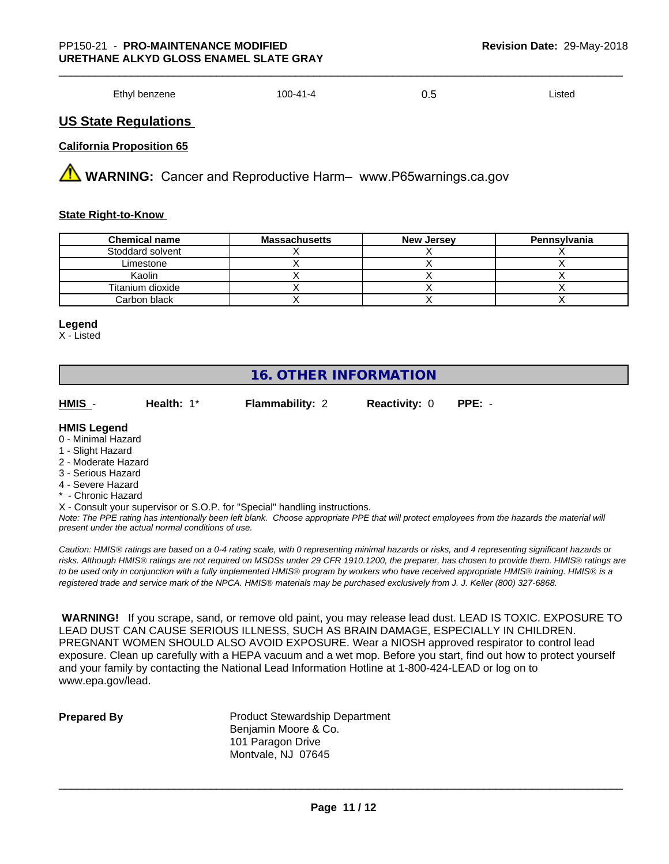| Ethyl benzene<br>$100 - 41 - 4$ | ບ.ບ<br>- - | Listed |
|---------------------------------|------------|--------|
|---------------------------------|------------|--------|

## **US State Regulations**

## **California Proposition 65**

**A** WARNING: Cancer and Reproductive Harm– www.P65warnings.ca.gov

## **State Right-to-Know**

| <b>Chemical name</b> | <b>Massachusetts</b> | <b>New Jersey</b> | Pennsylvania |
|----------------------|----------------------|-------------------|--------------|
| Stoddard solvent     |                      |                   |              |
| Limestone            |                      |                   |              |
| Kaolin               |                      |                   |              |
| Titanium dioxide     |                      |                   |              |
| Carbon black         |                      |                   |              |

## **Legend**

X - Listed

# **16. OTHER INFORMATION**

| HMIS                                                                               | Health: $1^*$ | <b>Flammability: 2</b> | <b>Reactivity: 0</b> | $PPE: -$ |
|------------------------------------------------------------------------------------|---------------|------------------------|----------------------|----------|
| <b>HMIS Legend</b><br>0 - Minimal Hazard<br>1 - Slight Hazard<br>2 Moderate Hozard |               |                        |                      |          |

- 2 Moderate Hazard
- 3 Serious Hazard
- 4 Severe Hazard
- Chronic Hazard
- X Consult your supervisor or S.O.P. for "Special" handling instructions.

*Note: The PPE rating has intentionally been left blank. Choose appropriate PPE that will protect employees from the hazards the material will present under the actual normal conditions of use.*

*Caution: HMISÒ ratings are based on a 0-4 rating scale, with 0 representing minimal hazards or risks, and 4 representing significant hazards or risks. Although HMISÒ ratings are not required on MSDSs under 29 CFR 1910.1200, the preparer, has chosen to provide them. HMISÒ ratings are to be used only in conjunction with a fully implemented HMISÒ program by workers who have received appropriate HMISÒ training. HMISÒ is a registered trade and service mark of the NPCA. HMISÒ materials may be purchased exclusively from J. J. Keller (800) 327-6868.*

 **WARNING!** If you scrape, sand, or remove old paint, you may release lead dust. LEAD IS TOXIC. EXPOSURE TO LEAD DUST CAN CAUSE SERIOUS ILLNESS, SUCH AS BRAIN DAMAGE, ESPECIALLY IN CHILDREN. PREGNANT WOMEN SHOULD ALSO AVOID EXPOSURE.Wear a NIOSH approved respirator to control lead exposure. Clean up carefully with a HEPA vacuum and a wet mop. Before you start, find out how to protect yourself and your family by contacting the National Lead Information Hotline at 1-800-424-LEAD or log on to www.epa.gov/lead.

**Prepared By** Product Stewardship Department Benjamin Moore & Co. 101 Paragon Drive Montvale, NJ 07645